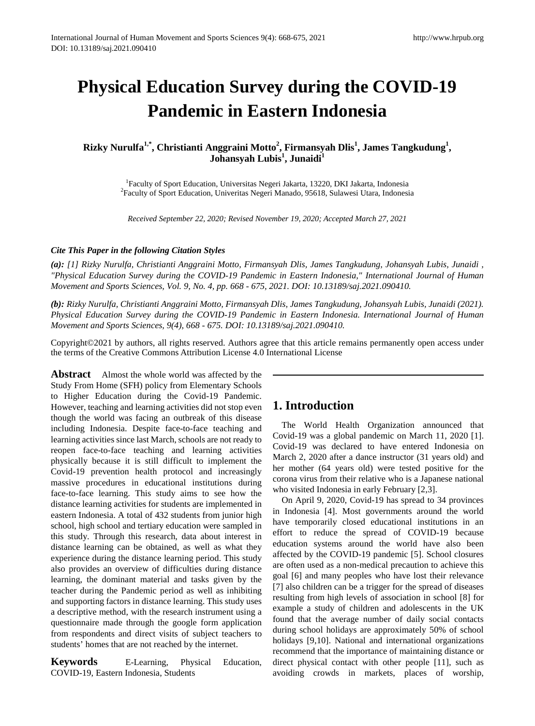# **Physical Education Survey during the COVID-19 Pandemic in Eastern Indonesia**

**Rizky Nurulfa<sup>1,\*</sup>, Christianti Anggraini Motto<sup>2</sup>, Firmansyah Dlis<sup>1</sup>, James Tangkudung<sup>1</sup>, Johansyah Lubis<sup>1</sup> , Junaidi<sup>1</sup>**

<sup>1</sup> Faculty of Sport Education, Universitas Negeri Jakarta, 13220, DKI Jakarta, Indonesia<br><sup>2</sup> Faculty of Sport Education, Universites Negeri Manado, 95618, Sulawesi Utara, Indones  ${}^{2}$ Faculty of Sport Education, Univeritas Negeri Manado, 95618, Sulawesi Utara, Indonesia

*Received September 22, 2020; Revised November 19, 2020; Accepted March 27, 2021* 

#### *Cite This Paper in the following Citation Styles*

*(a): [1] Rizky Nurulfa, Christianti Anggraini Motto, Firmansyah Dlis, James Tangkudung, Johansyah Lubis, Junaidi , "Physical Education Survey during the COVID-19 Pandemic in Eastern Indonesia," International Journal of Human Movement and Sports Sciences, Vol. 9, No. 4, pp. 668 - 675, 2021. DOI: 10.13189/saj.2021.090410.* 

*(b): Rizky Nurulfa, Christianti Anggraini Motto, Firmansyah Dlis, James Tangkudung, Johansyah Lubis, Junaidi (2021). Physical Education Survey during the COVID-19 Pandemic in Eastern Indonesia. International Journal of Human Movement and Sports Sciences, 9(4), 668 - 675. DOI: 10.13189/saj.2021.090410.* 

Copyright©2021 by authors, all rights reserved. Authors agree that this article remains permanently open access under the terms of the Creative Commons Attribution License 4.0 International License

**Abstract** Almost the whole world was affected by the Study From Home (SFH) policy from Elementary Schools to Higher Education during the Covid-19 Pandemic. However, teaching and learning activities did not stop even though the world was facing an outbreak of this disease including Indonesia. Despite face-to-face teaching and learning activities since last March, schools are not ready to reopen face-to-face teaching and learning activities physically because it is still difficult to implement the Covid-19 prevention health protocol and increasingly massive procedures in educational institutions during face-to-face learning. This study aims to see how the distance learning activities for students are implemented in eastern Indonesia. A total of 432 students from junior high school, high school and tertiary education were sampled in this study. Through this research, data about interest in distance learning can be obtained, as well as what they experience during the distance learning period. This study also provides an overview of difficulties during distance learning, the dominant material and tasks given by the teacher during the Pandemic period as well as inhibiting and supporting factors in distance learning. This study uses a descriptive method, with the research instrument using a questionnaire made through the google form application from respondents and direct visits of subject teachers to students' homes that are not reached by the internet.

**Keywords** E-Learning, Physical Education, COVID-19, Eastern Indonesia, Students

# **1. Introduction**

The World Health Organization announced that Covid-19 was a global pandemic on March 11, 2020 [1]. Covid-19 was declared to have entered Indonesia on March 2, 2020 after a dance instructor (31 years old) and her mother (64 years old) were tested positive for the corona virus from their relative who is a Japanese national who visited Indonesia in early February [2,3].

On April 9, 2020, Covid-19 has spread to 34 provinces in Indonesia [4]. Most governments around the world have temporarily closed educational institutions in an effort to reduce the spread of COVID-19 because education systems around the world have also been affected by the COVID-19 pandemic [5]. School closures are often used as a non-medical precaution to achieve this goal [6] and many peoples who have lost their relevance [7] also children can be a trigger for the spread of diseases resulting from high levels of association in school [8] for example a study of children and adolescents in the UK found that the average number of daily social contacts during school holidays are approximately 50% of school holidays [9,10]. National and international organizations recommend that the importance of maintaining distance or direct physical contact with other people [11], such as avoiding crowds in markets, places of worship,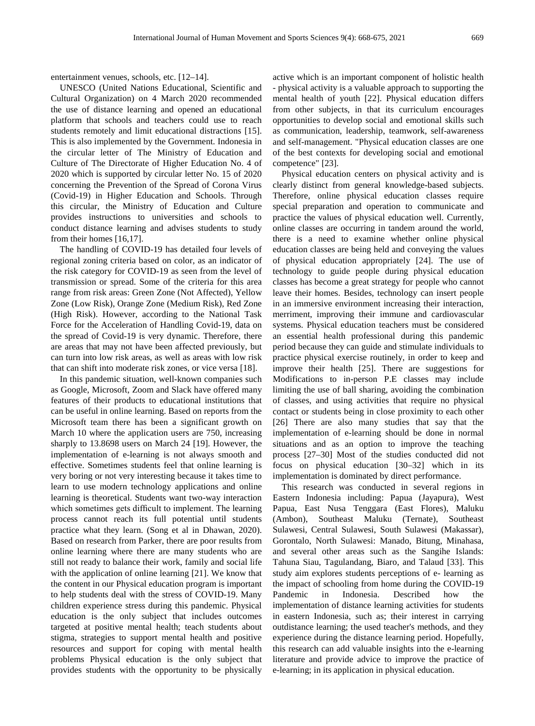UNESCO (United Nations Educational, Scientific and Cultural Organization) on 4 March 2020 recommended the use of distance learning and opened an educational platform that schools and teachers could use to reach students remotely and limit educational distractions [15]. This is also implemented by the Government. Indonesia in the circular letter of The Ministry of Education and Culture of The Directorate of Higher Education No. 4 of 2020 which is supported by circular letter No. 15 of 2020 concerning the Prevention of the Spread of Corona Virus (Covid-19) in Higher Education and Schools. Through this circular, the Ministry of Education and Culture provides instructions to universities and schools to conduct distance learning and advises students to study from their homes [16,17].

The handling of COVID-19 has detailed four levels of regional zoning criteria based on color, as an indicator of the risk category for COVID-19 as seen from the level of transmission or spread. Some of the criteria for this area range from risk areas: Green Zone (Not Affected), Yellow Zone (Low Risk), Orange Zone (Medium Risk), Red Zone (High Risk). However, according to the National Task Force for the Acceleration of Handling Covid-19, data on the spread of Covid-19 is very dynamic. Therefore, there are areas that may not have been affected previously, but can turn into low risk areas, as well as areas with low risk that can shift into moderate risk zones, or vice versa [18].

In this pandemic situation, well-known companies such as Google, Microsoft, Zoom and Slack have offered many features of their products to educational institutions that can be useful in online learning. Based on reports from the Microsoft team there has been a significant growth on March 10 where the application users are 750, increasing sharply to 13.8698 users on March 24 [19]. However, the implementation of e-learning is not always smooth and effective. Sometimes students feel that online learning is very boring or not very interesting because it takes time to learn to use modern technology applications and online learning is theoretical. Students want two-way interaction which sometimes gets difficult to implement. The learning process cannot reach its full potential until students practice what they learn. (Song et al in Dhawan, 2020). Based on research from Parker, there are poor results from online learning where there are many students who are still not ready to balance their work, family and social life with the application of online learning [21]. We know that the content in our Physical education program is important to help students deal with the stress of COVID-19. Many children experience stress during this pandemic. Physical education is the only subject that includes outcomes targeted at positive mental health; teach students about stigma, strategies to support mental health and positive resources and support for coping with mental health problems Physical education is the only subject that provides students with the opportunity to be physically active which is an important component of holistic health - physical activity is a valuable approach to supporting the mental health of youth [22]. Physical education differs from other subjects, in that its curriculum encourages opportunities to develop social and emotional skills such as communication, leadership, teamwork, self-awareness and self-management. "Physical education classes are one of the best contexts for developing social and emotional competence" [23].

Physical education centers on physical activity and is clearly distinct from general knowledge-based subjects. Therefore, online physical education classes require special preparation and operation to communicate and practice the values of physical education well. Currently, online classes are occurring in tandem around the world, there is a need to examine whether online physical education classes are being held and conveying the values of physical education appropriately [24]. The use of technology to guide people during physical education classes has become a great strategy for people who cannot leave their homes. Besides, technology can insert people in an immersive environment increasing their interaction, merriment, improving their immune and cardiovascular systems. Physical education teachers must be considered an essential health professional during this pandemic period because they can guide and stimulate individuals to practice physical exercise routinely, in order to keep and improve their health [25]. There are suggestions for Modifications to in-person P.E classes may include limiting the use of ball sharing, avoiding the combination of classes, and using activities that require no physical contact or students being in close proximity to each other [26] There are also many studies that say that the implementation of e-learning should be done in normal situations and as an option to improve the teaching process [27–30] Most of the studies conducted did not focus on physical education [30–32] which in its implementation is dominated by direct performance.

This research was conducted in several regions in Eastern Indonesia including: Papua (Jayapura), West Papua, East Nusa Tenggara (East Flores), Maluku (Ambon), Southeast Maluku (Ternate), Southeast Sulawesi, Central Sulawesi, South Sulawesi (Makassar), Gorontalo, North Sulawesi: Manado, Bitung, Minahasa, and several other areas such as the Sangihe Islands: Tahuna Siau, Tagulandang, Biaro, and Talaud [33]. This study aim explores students perceptions of e- learning as the impact of schooling from home during the COVID-19 Pandemic in Indonesia. Described how the implementation of distance learning activities for students in eastern Indonesia, such as; their interest in carrying outdistance learning; the used teacher's methods, and they experience during the distance learning period. Hopefully, this research can add valuable insights into the e-learning literature and provide advice to improve the practice of e-learning; in its application in physical education.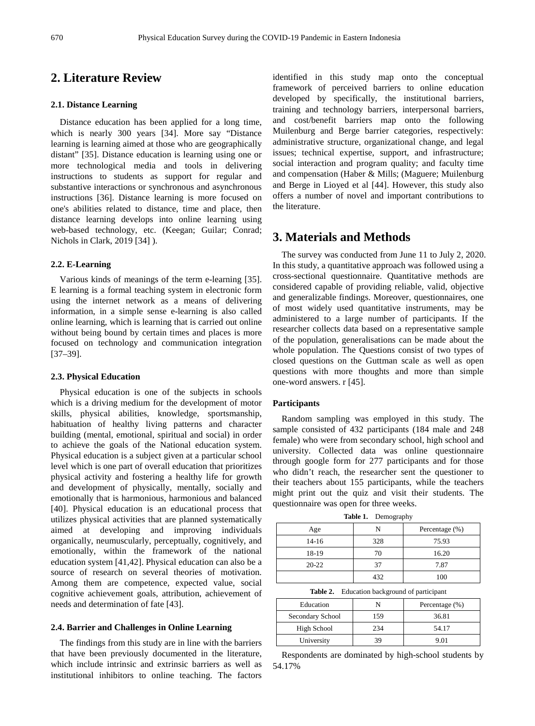# **2. Literature Review**

#### **2.1. Distance Learning**

Distance education has been applied for a long time, which is nearly 300 years [34]. More say "Distance learning is learning aimed at those who are geographically distant" [35]. Distance education is learning using one or more technological media and tools in delivering instructions to students as support for regular and substantive interactions or synchronous and asynchronous instructions [36]. Distance learning is more focused on one's abilities related to distance, time and place, then distance learning develops into online learning using web-based technology, etc. (Keegan; Guilar; Conrad; Nichols in Clark, 2019 [34] ).

#### **2.2. E-Learning**

Various kinds of meanings of the term e-learning [35]. E learning is a formal teaching system in electronic form using the internet network as a means of delivering information, in a simple sense e-learning is also called online learning, which is learning that is carried out online without being bound by certain times and places is more focused on technology and communication integration [37–39].

#### **2.3. Physical Education**

Physical education is one of the subjects in schools which is a driving medium for the development of motor skills, physical abilities, knowledge, sportsmanship, habituation of healthy living patterns and character building (mental, emotional, spiritual and social) in order to achieve the goals of the National education system. Physical education is a subject given at a particular school level which is one part of overall education that prioritizes physical activity and fostering a healthy life for growth and development of physically, mentally, socially and emotionally that is harmonious, harmonious and balanced [40]. Physical education is an educational process that utilizes physical activities that are planned systematically aimed at developing and improving individuals organically, neumuscularly, perceptually, cognitively, and emotionally, within the framework of the national education system [41,42]. Physical education can also be a source of research on several theories of motivation. Among them are competence, expected value, social cognitive achievement goals, attribution, achievement of needs and determination of fate [43].

#### **2.4. Barrier and Challenges in Online Learning**

The findings from this study are in line with the barriers that have been previously documented in the literature, which include intrinsic and extrinsic barriers as well as institutional inhibitors to online teaching. The factors

identified in this study map onto the conceptual framework of perceived barriers to online education developed by specifically, the institutional barriers, training and technology barriers, interpersonal barriers, and cost/benefit barriers map onto the following Muilenburg and Berge barrier categories, respectively: administrative structure, organizational change, and legal issues; technical expertise, support, and infrastructure; social interaction and program quality; and faculty time and compensation (Haber & Mills; (Maguere; Muilenburg and Berge in Lioyed et al [44]. However, this study also offers a number of novel and important contributions to the literature.

## **3. Materials and Methods**

The survey was conducted from June 11 to July 2, 2020. In this study, a quantitative approach was followed using a cross-sectional questionnaire. Quantitative methods are considered capable of providing reliable, valid, objective and generalizable findings. Moreover, questionnaires, one of most widely used quantitative instruments, may be administered to a large number of participants. If the researcher collects data based on a representative sample of the population, generalisations can be made about the whole population. The Questions consist of two types of closed questions on the Guttman scale as well as open questions with more thoughts and more than simple one-word answers. r [45].

#### **Participants**

Random sampling was employed in this study. The sample consisted of 432 participants (184 male and 248 female) who were from secondary school, high school and university. Collected data was online questionnaire through google form for 277 participants and for those who didn't reach, the researcher sent the questioner to their teachers about 155 participants, while the teachers might print out the quiz and visit their students. The questionnaire was open for three weeks.

**Table 1.** Demography

| Age       |     | Percentage (%) |
|-----------|-----|----------------|
| $14 - 16$ | 328 | 75.93          |
| 18-19     | 70  | 16.20          |
| $20 - 22$ | 37  | 7.87           |
|           | 432 | 100            |

**Table 2.** Education background of participant

| Education        |     | Percentage (%) |
|------------------|-----|----------------|
| Secondary School | 159 | 36.81          |
| High School      | 234 | 54.17          |
| University       | 39  | 9.01           |

Respondents are dominated by high-school students by 54.17%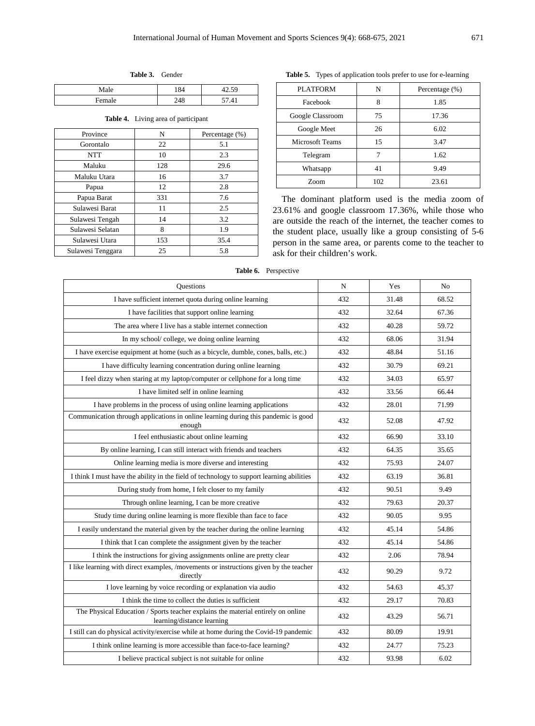| Male   | O4         | $\epsilon$<br>$\cdot$ $\sim$<br>14.J |
|--------|------------|--------------------------------------|
| Female | 240<br>-40 | 41                                   |

**Table 3.** Gender

**Table 4.** Living area of participant

| Province          | N   | Percentage (%) |
|-------------------|-----|----------------|
| Gorontalo         | 22  | 5.1            |
| <b>NTT</b>        | 10  | 2.3            |
| Maluku            | 128 | 29.6           |
| Maluku Utara      | 16  | 3.7            |
| Papua             | 12  | 2.8            |
| Papua Barat       | 331 | 7.6            |
| Sulawesi Barat    | 11  | 2.5            |
| Sulawesi Tengah   | 14  | 3.2            |
| Sulawesi Selatan  | 8   | 1.9            |
| Sulawesi Utara    | 153 | 35.4           |
| Sulawesi Tenggara | 25  | 5.8            |

**Table 5.** Types of application tools prefer to use for e-learning

| <b>PLATFORM</b>        | N   | Percentage (%) |  |
|------------------------|-----|----------------|--|
| Facebook               | 8   | 1.85           |  |
| Google Classroom       | 75  | 17.36          |  |
| Google Meet            | 26  | 6.02           |  |
| <b>Microsoft Teams</b> | 15  | 3.47           |  |
| Telegram               |     | 1.62           |  |
| Whatsapp               | 41  | 9.49           |  |
| <b>Zoom</b>            | 102 | 23.61          |  |

The dominant platform used is the media zoom of 23.61% and google classroom 17.36%, while those who are outside the reach of the internet, the teacher comes to the student place, usually like a group consisting of 5-6 person in the same area, or parents come to the teacher to ask for their children's work.

**Table 6.** Perspective

| <b>Questions</b>                                                                                               | N   | Yes   | N <sub>0</sub> |
|----------------------------------------------------------------------------------------------------------------|-----|-------|----------------|
| I have sufficient internet quota during online learning                                                        | 432 | 31.48 | 68.52          |
| I have facilities that support online learning                                                                 | 432 | 32.64 | 67.36          |
| The area where I live has a stable internet connection                                                         | 432 | 40.28 | 59.72          |
| In my school/college, we doing online learning                                                                 | 432 | 68.06 | 31.94          |
| I have exercise equipment at home (such as a bicycle, dumble, cones, balls, etc.)                              | 432 | 48.84 | 51.16          |
| I have difficulty learning concentration during online learning                                                | 432 | 30.79 | 69.21          |
| I feel dizzy when staring at my laptop/computer or cellphone for a long time                                   | 432 | 34.03 | 65.97          |
| I have limited self in online learning                                                                         | 432 | 33.56 | 66.44          |
| I have problems in the process of using online learning applications                                           | 432 | 28.01 | 71.99          |
| Communication through applications in online learning during this pandemic is good<br>enough                   | 432 | 52.08 | 47.92          |
| I feel enthusiastic about online learning                                                                      | 432 | 66.90 | 33.10          |
| By online learning, I can still interact with friends and teachers                                             | 432 | 64.35 | 35.65          |
| Online learning media is more diverse and interesting                                                          | 432 | 75.93 | 24.07          |
| I think I must have the ability in the field of technology to support learning abilities                       | 432 | 63.19 | 36.81          |
| During study from home, I felt closer to my family                                                             | 432 | 90.51 | 9.49           |
| Through online learning, I can be more creative                                                                | 432 | 79.63 | 20.37          |
| Study time during online learning is more flexible than face to face                                           | 432 | 90.05 | 9.95           |
| I easily understand the material given by the teacher during the online learning                               | 432 | 45.14 | 54.86          |
| I think that I can complete the assignment given by the teacher                                                | 432 | 45.14 | 54.86          |
| I think the instructions for giving assignments online are pretty clear                                        | 432 | 2.06  | 78.94          |
| I like learning with direct examples, /movements or instructions given by the teacher<br>directly              | 432 | 90.29 | 9.72           |
| I love learning by voice recording or explanation via audio                                                    | 432 | 54.63 | 45.37          |
| I think the time to collect the duties is sufficient                                                           | 432 | 29.17 | 70.83          |
| The Physical Education / Sports teacher explains the material entirely on online<br>learning/distance learning | 432 | 43.29 | 56.71          |
| I still can do physical activity/exercise while at home during the Covid-19 pandemic                           | 432 | 80.09 | 19.91          |
| I think online learning is more accessible than face-to-face learning?                                         | 432 | 24.77 | 75.23          |
| I believe practical subject is not suitable for online                                                         | 432 | 93.98 | 6.02           |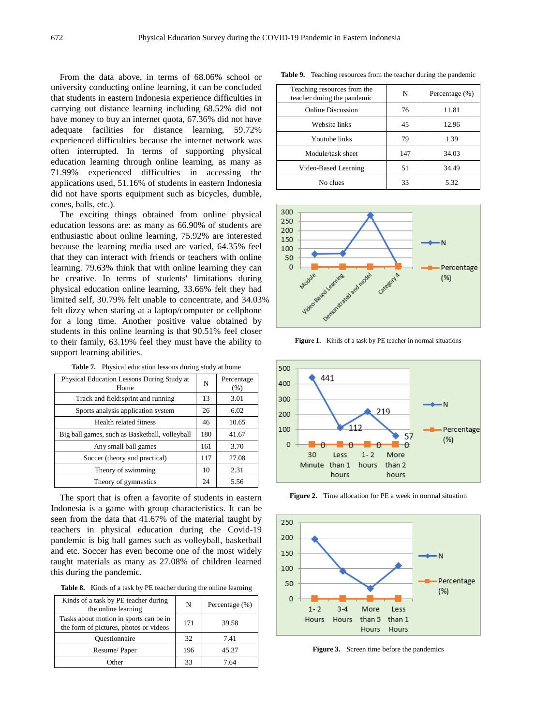From the data above, in terms of 68.06% school or university conducting online learning, it can be concluded that students in eastern Indonesia experience difficulties in carrying out distance learning including 68.52% did not have money to buy an internet quota, 67.36% did not have adequate facilities for distance learning, 59.72% experienced difficulties because the internet network was often interrupted. In terms of supporting physical education learning through online learning, as many as 71.99% experienced difficulties in accessing the applications used, 51.16% of students in eastern Indonesia did not have sports equipment such as bicycles, dumble, cones, balls, etc.).

The exciting things obtained from online physical education lessons are: as many as 66.90% of students are enthusiastic about online learning, 75.92% are interested because the learning media used are varied, 64.35% feel that they can interact with friends or teachers with online learning. 79.63% think that with online learning they can be creative. In terms of students' limitations during physical education online learning, 33.66% felt they had limited self, 30.79% felt unable to concentrate, and 34.03% felt dizzy when staring at a laptop/computer or cellphone for a long time. Another positive value obtained by students in this online learning is that 90.51% feel closer to their family, 63.19% feel they must have the ability to support learning abilities.

| Physical Education Lessons During Study at<br>Home |    | Percentage<br>(% ) |
|----------------------------------------------------|----|--------------------|
| Track and field: sprint and running                | 13 | 3.01               |
| Sports analysis application system                 |    | 6.02               |
| Health related fitness                             |    | 10.65              |
| Big ball games, such as Basketball, volleyball     |    | 41.67              |
| Any small ball games                               |    | 3.70               |
| Soccer (theory and practical)                      |    | 27.08              |
| Theory of swimming                                 |    | 2.31               |
| Theory of gymnastics                               |    | 5.56               |

**Table 7.** Physical education lessons during study at home

The sport that is often a favorite of students in eastern Indonesia is a game with group characteristics. It can be seen from the data that 41.67% of the material taught by teachers in physical education during the Covid-19 pandemic is big ball games such as volleyball, basketball and etc. Soccer has even become one of the most widely taught materials as many as 27.08% of children learned this during the pandemic.

**Table 8.** Kinds of a task by PE teacher during the online learning

| Kinds of a task by PE teacher during<br>the online learning                      | N   | Percentage (%) |
|----------------------------------------------------------------------------------|-----|----------------|
| Tasks about motion in sports can be in<br>the form of pictures, photos or videos | 171 | 39.58          |
| Ouestionnaire                                                                    | 32  | 7.41           |
| Resume/Paper                                                                     | 196 | 45.37          |
| Other                                                                            | 33  | 7.64           |

Teaching resources from the teacher during the pandemic N Percentage (%) Online Discussion 76 11.81 Website links 12.96 Youtube links 79 1.39 Module/task sheet 147 34.03 Video-Based Learning 151 34.49 No clues 33 5.32

**Table 9.** Teaching resources from the teacher during the pandemic



**Figure 1.** Kinds of a task by PE teacher in normal situations



**Figure 2.** Time allocation for PE a week in normal situation



**Figure 3.** Screen time before the pandemics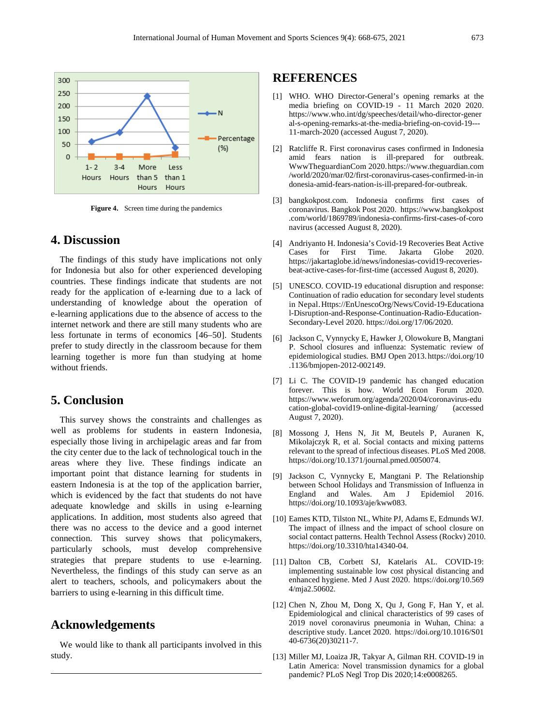

**Figure 4.** Screen time during the pandemics

## **4. Discussion**

The findings of this study have implications not only for Indonesia but also for other experienced developing countries. These findings indicate that students are not ready for the application of e-learning due to a lack of understanding of knowledge about the operation of e-learning applications due to the absence of access to the internet network and there are still many students who are less fortunate in terms of economics [46–50]. Students prefer to study directly in the classroom because for them learning together is more fun than studying at home without friends.

# **5. Conclusion**

This survey shows the constraints and challenges as well as problems for students in eastern Indonesia, especially those living in archipelagic areas and far from the city center due to the lack of technological touch in the areas where they live. These findings indicate an important point that distance learning for students in eastern Indonesia is at the top of the application barrier, which is evidenced by the fact that students do not have adequate knowledge and skills in using e-learning applications. In addition, most students also agreed that there was no access to the device and a good internet connection. This survey shows that policymakers, particularly schools, must develop comprehensive strategies that prepare students to use e-learning. Nevertheless, the findings of this study can serve as an alert to teachers, schools, and policymakers about the barriers to using e-learning in this difficult time.

## **Acknowledgements**

We would like to thank all participants involved in this study.

## **REFERENCES**

- [1] WHO. WHO Director-General's opening remarks at the media briefing on COVID-19 - 11 March 2020 2020. https://www.who.int/dg/speeches/detail/who-director-gener al-s-opening-remarks-at-the-media-briefing-on-covid-19--- 11-march-2020 (accessed August 7, 2020).
- [2] Ratcliffe R. First coronavirus cases confirmed in Indonesia amid fears nation is ill-prepared for outbreak. WwwTheguardianCom 2020.https://www.theguardian.com /world/2020/mar/02/first-coronavirus-cases-confirmed-in-in donesia-amid-fears-nation-is-ill-prepared-for-outbreak.
- [3] bangkokpost.com. Indonesia confirms first cases of coronavirus. Bangkok Post 2020. https://www.bangkokpost .com/world/1869789/indonesia-confirms-first-cases-of-coro navirus (accessed August 8, 2020).
- [4] Andriyanto H. Indonesia's Covid-19 Recoveries Beat Active Cases for First Time. Jakarta Globe 2020. https://jakartaglobe.id/news/indonesias-covid19-recoveriesbeat-active-cases-for-first-time (accessed August 8, 2020).
- [5] UNESCO. COVID-19 educational disruption and response: Continuation of radio education for secondary level students in Nepal.Https://EnUnescoOrg/News/Covid-19-Educationa l-Disruption-and-Response-Continuation-Radio-Education-Secondary-Level 2020. https://doi.org/17/06/2020.
- [6] Jackson C, Vynnycky E, Hawker J, Olowokure B, Mangtani P. School closures and influenza: Systematic review of epidemiological studies. BMJ Open 2013. https://doi.org/10 .1136/bmjopen-2012-002149.
- [7] Li C. The COVID-19 pandemic has changed education forever. This is how. World Econ Forum 2020. https://www.weforum.org/agenda/2020/04/coronavirus-edu cation-global-covid19-online-digital-learning/ (accessed August 7, 2020).
- [8] Mossong J, Hens N, Jit M, Beutels P, Auranen K, Mikolajczyk R, et al. Social contacts and mixing patterns relevant to the spread of infectious diseases. PLoS Med 2008. https://doi.org/10.1371/journal.pmed.0050074.
- [9] Jackson C, Vynnycky E, Mangtani P. The Relationship between School Holidays and Transmission of Influenza in England and Wales. Am J Epidemiol 2016. https://doi.org/10.1093/aje/kww083.
- [10] Eames KTD, Tilston NL, White PJ, Adams E, Edmunds WJ. The impact of illness and the impact of school closure on social contact patterns. Health Technol Assess (Rockv) 2010. https://doi.org/10.3310/hta14340-04.
- [11] Dalton CB, Corbett SJ, Katelaris AL. COVID-19: implementing sustainable low cost physical distancing and enhanced hygiene. Med J Aust 2020. https://doi.org/10.569 4/mja2.50602.
- [12] Chen N, Zhou M, Dong X, Qu J, Gong F, Han Y, et al. Epidemiological and clinical characteristics of 99 cases of 2019 novel coronavirus pneumonia in Wuhan, China: a descriptive study. Lancet 2020. https://doi.org/10.1016/S01 40-6736(20)30211-7.
- [13] Miller MJ, Loaiza JR, Takyar A, Gilman RH. COVID-19 in Latin America: Novel transmission dynamics for a global pandemic? PLoS Negl Trop Dis 2020;14:e0008265.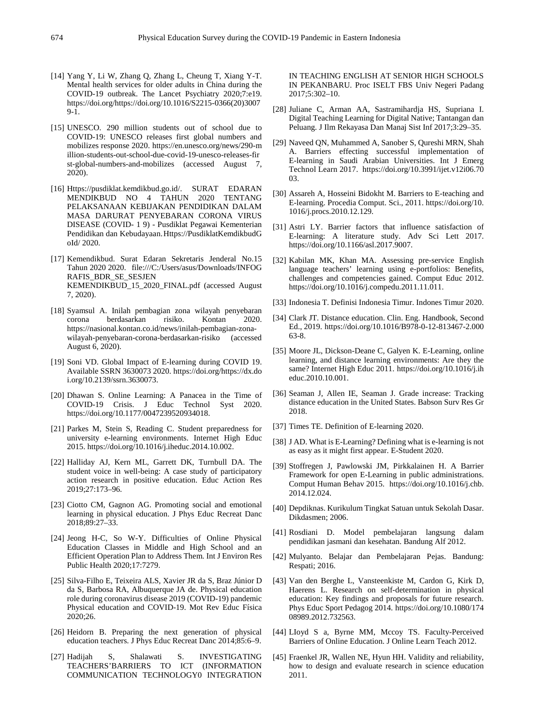- [14] Yang Y, Li W, Zhang Q, Zhang L, Cheung T, Xiang Y-T. Mental health services for older adults in China during the COVID-19 outbreak. The Lancet Psychiatry 2020;7:e19. https://doi.org/https://doi.org/10.1016/S2215-0366(20)3007  $9-1.$
- [15] UNESCO. 290 million students out of school due to COVID-19: UNESCO releases first global numbers and mobilizes response 2020. https://en.unesco.org/news/290-m illion-students-out-school-due-covid-19-unesco-releases-fir st-global-numbers-and-mobilizes (accessed August 7, 2020).
- [16] Https://pusdiklat.kemdikbud.go.id/. SURAT EDARAN MENDIKBUD NO 4 TAHUN 2020 TENTANG PELAKSANAAN KEBIJAKAN PENDIDIKAN DALAM MASA DARURAT PENYEBARAN CORONA VIRUS DISEASE (COVID- 1 9) - Pusdiklat Pegawai Kementerian Pendidikan dan Kebudayaan.Https://PusdiklatKemdikbudG oId/ 2020.
- [17] Kemendikbud. Surat Edaran Sekretaris Jenderal No.15 Tahun 2020 2020. file:///C:/Users/asus/Downloads/INFOG RAFIS\_BDR\_SE\_SESJEN KEMENDIKBUD\_15\_2020\_FINAL.pdf (accessed August 7, 2020).
- [18] Syamsul A. Inilah pembagian zona wilayah penyebaran corona berdasarkan risiko. Kontan 2020. https://nasional.kontan.co.id/news/inilah-pembagian-zonawilayah-penyebaran-corona-berdasarkan-risiko (accessed August 6, 2020).
- [19] Soni VD. Global Impact of E-learning during COVID 19. Available SSRN 3630073 2020. https://doi.org/https://dx.do i.org/10.2139/ssrn.3630073.
- [20] Dhawan S. Online Learning: A Panacea in the Time of COVID-19 Crisis. J Educ Technol Syst 2020. https://doi.org/10.1177/0047239520934018.
- [21] Parkes M, Stein S, Reading C. Student preparedness for university e-learning environments. Internet High Educ 2015. https://doi.org/10.1016/j.iheduc.2014.10.002.
- [22] Halliday AJ, Kern ML, Garrett DK, Turnbull DA. The student voice in well-being: A case study of participatory action research in positive education. Educ Action Res 2019;27:173–96.
- [23] Ciotto CM, Gagnon AG. Promoting social and emotional learning in physical education. J Phys Educ Recreat Danc 2018;89:27–33.
- [24] Jeong H-C, So W-Y. Difficulties of Online Physical Education Classes in Middle and High School and an Efficient Operation Plan to Address Them. Int J Environ Res Public Health 2020;17:7279.
- [25] Silva-Filho E, Teixeira ALS, Xavier JR da S, Braz Júnior D da S, Barbosa RA, Albuquerque JA de. Physical education role during coronavirus disease 2019 (COVID-19) pandemic Physical education and COVID-19. Mot Rev Educ Física 2020;26.
- [26] Heidorn B. Preparing the next generation of physical education teachers. J Phys Educ Recreat Danc 2014;85:6–9.
- [27] Hadijah S, Shalawati S. INVESTIGATING TEACHERS'BARRIERS TO ICT (INFORMATION COMMUNICATION TECHNOLOGY0 INTEGRATION

IN TEACHING ENGLISH AT SENIOR HIGH SCHOOLS IN PEKANBARU. Proc ISELT FBS Univ Negeri Padang 2017;5:302–10.

- [28] Juliane C, Arman AA, Sastramihardja HS, Supriana I. Digital Teaching Learning for Digital Native; Tantangan dan Peluang. J Ilm Rekayasa Dan Manaj Sist Inf 2017;3:29–35.
- [29] Naveed QN, Muhammed A, Sanober S, Qureshi MRN, Shah A. Barriers effecting successful implementation of E-learning in Saudi Arabian Universities. Int J Emerg Technol Learn 2017. https://doi.org/10.3991/ijet.v12i06.70 03.
- [30] Assareh A, Hosseini Bidokht M. Barriers to E-teaching and E-learning. Procedia Comput. Sci., 2011. https://doi.org/10. 1016/j.procs.2010.12.129.
- [31] Astri LY. Barrier factors that influence satisfaction of E-learning: A literature study. Adv Sci Lett 2017. https://doi.org/10.1166/asl.2017.9007.
- [32] Kabilan MK, Khan MA. Assessing pre-service English language teachers' learning using e-portfolios: Benefits, challenges and competencies gained. Comput Educ 2012. https://doi.org/10.1016/j.compedu.2011.11.011.
- [33] Indonesia T. Definisi Indonesia Timur. Indones Timur 2020.
- [34] Clark JT. Distance education. Clin. Eng. Handbook, Second Ed., 2019. https://doi.org/10.1016/B978-0-12-813467-2.000 63-8.
- [35] Moore JL, Dickson-Deane C, Galyen K. E-Learning, online learning, and distance learning environments: Are they the same? Internet High Educ 2011. https://doi.org/10.1016/j.ih educ.2010.10.001.
- [36] Seaman J, Allen IE, Seaman J. Grade increase: Tracking distance education in the United States. Babson Surv Res Gr 2018.
- [37] Times TE. Definition of E-learning 2020.
- [38] J AD. What is E-Learning? Defining what is e-learning is not as easy as it might first appear. E-Student 2020.
- [39] Stoffregen J, Pawlowski JM, Pirkkalainen H. A Barrier Framework for open E-Learning in public administrations. Comput Human Behav 2015. https://doi.org/10.1016/j.chb. 2014.12.024.
- [40] Depdiknas. Kurikulum Tingkat Satuan untuk Sekolah Dasar. Dikdasmen; 2006.
- [41] Rosdiani D. Model pembelajaran langsung dalam pendidikan jasmani dan kesehatan. Bandung Alf 2012.
- [42] Mulyanto. Belajar dan Pembelajaran Pejas. Bandung: Respati; 2016.
- [43] Van den Berghe L, Vansteenkiste M, Cardon G, Kirk D, Haerens L. Research on self-determination in physical education: Key findings and proposals for future research. Phys Educ Sport Pedagog 2014. https://doi.org/10.1080/174 08989.2012.732563.
- [44] LIoyd S a, Byrne MM, Mccoy TS. Faculty-Perceived Barriers of Online Education. J Online Learn Teach 2012.
- [45] Fraenkel JR, Wallen NE, Hyun HH. Validity and reliability, how to design and evaluate research in science education 2011.